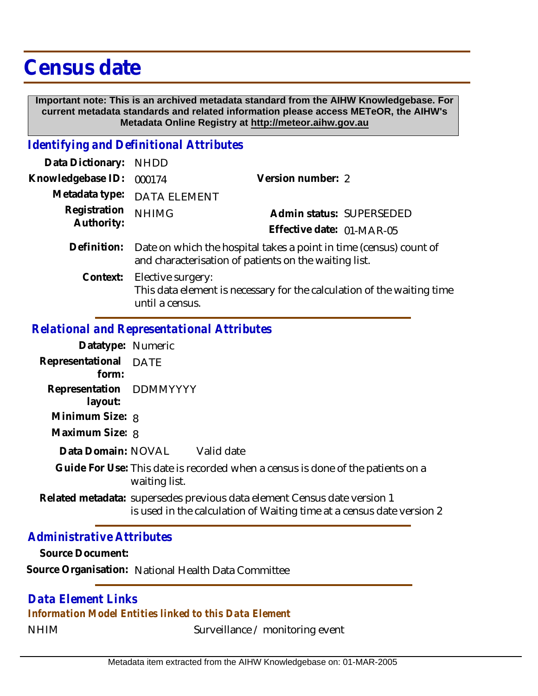# **Census date**

 **Important note: This is an archived metadata standard from the AIHW Knowledgebase. For current metadata standards and related information please access METeOR, the AIHW's Metadata Online Registry at http://meteor.aihw.gov.au**

### *Identifying and Definitional Attributes*

| Data Dictionary:           | <b>NHDD</b>                                                                                                                 |                                                                        |
|----------------------------|-----------------------------------------------------------------------------------------------------------------------------|------------------------------------------------------------------------|
| Knowledgebase ID:          | 000174                                                                                                                      | Version number: 2                                                      |
|                            | Metadata type: DATA ELEMENT                                                                                                 |                                                                        |
| Registration<br>Authority: | <b>NHIMG</b>                                                                                                                | Admin status: SUPERSEDED                                               |
|                            |                                                                                                                             | Effective date: 01-MAR-05                                              |
| Definition:                | Date on which the hospital takes a point in time (census) count of<br>and characterisation of patients on the waiting list. |                                                                        |
| Context:                   | Elective surgery:<br>until a census.                                                                                        | This data element is necessary for the calculation of the waiting time |

### *Relational and Representational Attributes*

| Datatype: Numeric                  |                                                                                                                                                   |
|------------------------------------|---------------------------------------------------------------------------------------------------------------------------------------------------|
| Representational DATE<br>form:     |                                                                                                                                                   |
| Representation DDMMYYYY<br>layout: |                                                                                                                                                   |
| Minimum Size: 8                    |                                                                                                                                                   |
| Maximum Size: 8                    |                                                                                                                                                   |
|                                    | Data Domain: NOVAL Valid date                                                                                                                     |
|                                    | Guide For Use: This date is recorded when a census is done of the patients on a<br>waiting list.                                                  |
|                                    | Related metadata: supersedes previous data element Census date version 1<br>is used in the calculation of Waiting time at a census date version 2 |
|                                    |                                                                                                                                                   |

### *Administrative Attributes*

**Source Document:**

**Source Organisation:** National Health Data Committee

## *Data Element Links*

#### *Information Model Entities linked to this Data Element*

NHIM Surveillance / monitoring event